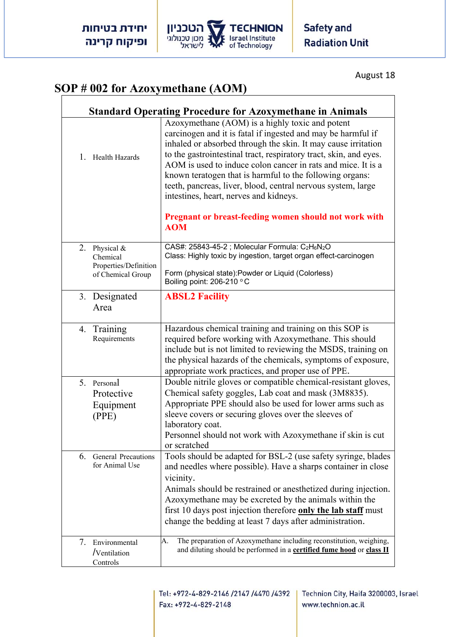

August 18

٦

## **SOP # 002 for Azoxymethane (AOM)**

| <b>Standard Operating Procedure for Azoxymethane in Animals</b>         |                                                                                                                                                                                                                                                                                                                                                                                                                                                                                             |  |  |
|-------------------------------------------------------------------------|---------------------------------------------------------------------------------------------------------------------------------------------------------------------------------------------------------------------------------------------------------------------------------------------------------------------------------------------------------------------------------------------------------------------------------------------------------------------------------------------|--|--|
| 1. Health Hazards                                                       | Azoxymethane (AOM) is a highly toxic and potent<br>carcinogen and it is fatal if ingested and may be harmful if<br>inhaled or absorbed through the skin. It may cause irritation<br>to the gastrointestinal tract, respiratory tract, skin, and eyes.<br>AOM is used to induce colon cancer in rats and mice. It is a<br>known teratogen that is harmful to the following organs:<br>teeth, pancreas, liver, blood, central nervous system, large<br>intestines, heart, nerves and kidneys. |  |  |
|                                                                         | <b>Pregnant or breast-feeding women should not work with</b><br><b>AOM</b>                                                                                                                                                                                                                                                                                                                                                                                                                  |  |  |
| 2. Physical &<br>Chemical<br>Properties/Definition<br>of Chemical Group | CAS#: 25843-45-2 ; Molecular Formula: C2H6N2O<br>Class: Highly toxic by ingestion, target organ effect-carcinogen                                                                                                                                                                                                                                                                                                                                                                           |  |  |
|                                                                         | Form (physical state): Powder or Liquid (Colorless)<br>Boiling point: 206-210 °C                                                                                                                                                                                                                                                                                                                                                                                                            |  |  |
| 3. Designated<br>Area                                                   | <b>ABSL2 Facility</b>                                                                                                                                                                                                                                                                                                                                                                                                                                                                       |  |  |
| 4. Training<br>Requirements                                             | Hazardous chemical training and training on this SOP is<br>required before working with Azoxymethane. This should<br>include but is not limited to reviewing the MSDS, training on<br>the physical hazards of the chemicals, symptoms of exposure,<br>appropriate work practices, and proper use of PPE.                                                                                                                                                                                    |  |  |
| 5. Personal<br>Protective<br>Equipment<br>(PPE)                         | Double nitrile gloves or compatible chemical-resistant gloves,<br>Chemical safety goggles, Lab coat and mask (3M8835).<br>Appropriate PPE should also be used for lower arms such as<br>sleeve covers or securing gloves over the sleeves of<br>laboratory coat.<br>Personnel should not work with Azoxymethane if skin is cut<br>or scratched                                                                                                                                              |  |  |
| <b>General Precautions</b><br>6.<br>for Animal Use                      | Tools should be adapted for BSL-2 (use safety syringe, blades<br>and needles where possible). Have a sharps container in close<br>vicinity.<br>Animals should be restrained or anesthetized during injection.<br>Azoxymethane may be excreted by the animals within the<br>first 10 days post injection therefore only the lab staff must<br>change the bedding at least 7 days after administration.                                                                                       |  |  |
| 7.<br>Environmental<br>/Ventilation<br>Controls                         | The preparation of Azoxymethane including reconstitution, weighing,<br>А.<br>and diluting should be performed in a certified fume hood or class II                                                                                                                                                                                                                                                                                                                                          |  |  |

Tel: +972-4-829-2146 /2147 /4470 /4392 Fax: +972-4-829-2148

Technion City, Haifa 3200003, Israel www.technion.ac.il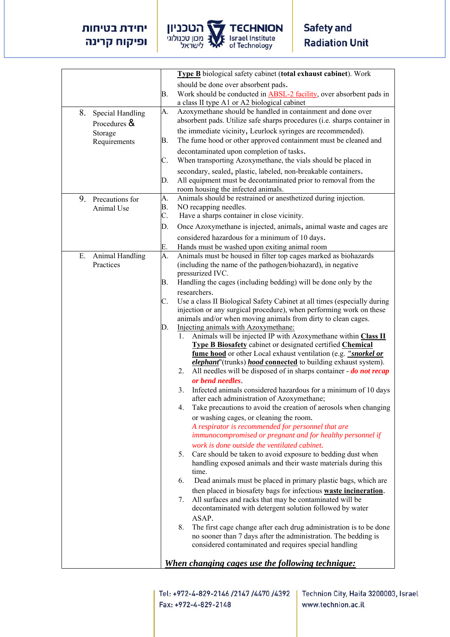## יחידת בטיחות ופיקוח קרינה



|                                               |          | Type B biological safety cabinet (total exhaust cabinet). Work                                                                             |
|-----------------------------------------------|----------|--------------------------------------------------------------------------------------------------------------------------------------------|
|                                               |          | should be done over absorbent pads.                                                                                                        |
|                                               | В.       | Work should be conducted in <b>ABSL-2</b> facility, over absorbent pads in                                                                 |
|                                               |          | a class II type A1 or A2 biological cabinet                                                                                                |
| <b>Special Handling</b><br>8.<br>Procedures & | A.       | Azoxymethane should be handled in containment and done over<br>absorbent pads. Utilize safe sharps procedures (i.e. sharps container in    |
| Storage<br>Requirements                       | В.       | the immediate vicinity, Leurlock syringes are recommended).<br>The fume hood or other approved containment must be cleaned and             |
|                                               |          | decontaminated upon completion of tasks.                                                                                                   |
|                                               | C.       | When transporting Azoxymethane, the vials should be placed in                                                                              |
|                                               |          | secondary, sealed, plastic, labeled, non-breakable containers.                                                                             |
|                                               | D.       | All equipment must be decontaminated prior to removal from the                                                                             |
|                                               |          | room housing the infected animals.                                                                                                         |
| 9.<br>Precautions for                         | A.       | Animals should be restrained or anesthetized during injection.                                                                             |
| Animal Use                                    | В.<br>C. | NO recapping needles.<br>Have a sharps container in close vicinity.                                                                        |
|                                               |          |                                                                                                                                            |
|                                               | D.       | Once Azoxymethane is injected, animals, animal waste and cages are                                                                         |
|                                               |          | considered hazardous for a minimum of 10 days.                                                                                             |
| Animal Handling<br>Е.                         | E.<br>A. | Hands must be washed upon exiting animal room<br>Animals must be housed in filter top cages marked as biohazards                           |
| Practices                                     |          | (including the name of the pathogen/biohazard), in negative                                                                                |
|                                               |          | pressurized IVC.                                                                                                                           |
|                                               | В.       | Handling the cages (including bedding) will be done only by the                                                                            |
|                                               |          | researchers.                                                                                                                               |
|                                               | C.       | Use a class II Biological Safety Cabinet at all times (especially during                                                                   |
|                                               |          | injection or any surgical procedure), when performing work on these                                                                        |
|                                               | D.       | animals and/or when moving animals from dirty to clean cages.<br>Injecting animals with Azoxymethane:                                      |
|                                               |          | Animals will be injected IP with Azoxymethane within Class II<br>1.                                                                        |
|                                               |          | Type B Biosafety cabinet or designated certified Chemical                                                                                  |
|                                               |          | fume hood or other Local exhaust ventilation (e.g. "snorkel or                                                                             |
|                                               |          | elephant" (trunks) hood connected to building exhaust system).<br>All needles will be disposed of in sharps container - do not recap<br>2. |
|                                               |          | or bend needles.                                                                                                                           |
|                                               |          | $\mathbf{3}$ .<br>Infected animals considered hazardous for a minimum of 10 days                                                           |
|                                               |          | after each administration of Azoxymethane;                                                                                                 |
|                                               |          | Take precautions to avoid the creation of aerosols when changing<br>4.                                                                     |
|                                               |          | or washing cages, or cleaning the room.                                                                                                    |
|                                               |          | A respirator is recommended for personnel that are<br>immunocompromised or pregnant and for healthy personnel if                           |
|                                               |          | work is done outside the ventilated cabinet.                                                                                               |
|                                               |          | Care should be taken to avoid exposure to bedding dust when<br>5.                                                                          |
|                                               |          | handling exposed animals and their waste materials during this                                                                             |
|                                               |          | time.                                                                                                                                      |
|                                               |          | Dead animals must be placed in primary plastic bags, which are<br>6.                                                                       |
|                                               |          | then placed in biosafety bags for infectious waste incineration.<br>All surfaces and racks that may be contaminated will be<br>7.          |
|                                               |          | decontaminated with detergent solution followed by water                                                                                   |
|                                               |          | ASAP.                                                                                                                                      |
|                                               |          | The first cage change after each drug administration is to be done<br>8.                                                                   |
|                                               |          | no sooner than 7 days after the administration. The bedding is                                                                             |
|                                               |          | considered contaminated and requires special handling                                                                                      |
|                                               |          |                                                                                                                                            |
|                                               |          | <b>When changing cages use the following technique:</b>                                                                                    |

Tel: +972-4-829-2146 /2147 /4470 /4392 Fax: +972-4-829-2148

Technion City, Haifa 3200003, Israel www.technion.ac.il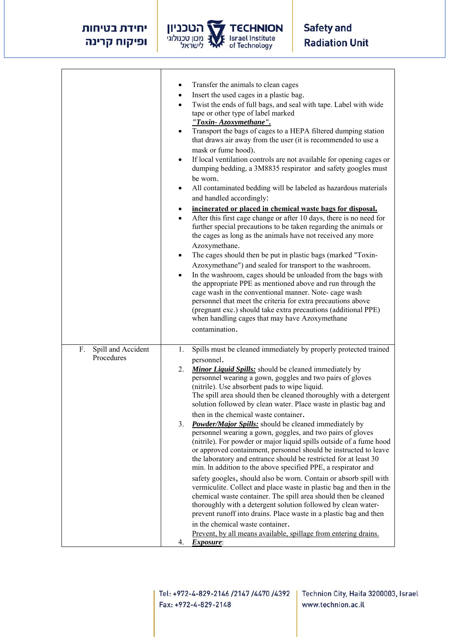## יחידת בטיחות ופיקוח קרינה



|                                        | Transfer the animals to clean cages<br>$\bullet$<br>Insert the used cages in a plastic bag.<br>٠<br>Twist the ends of full bags, and seal with tape. Label with wide<br>$\bullet$<br>tape or other type of label marked<br>"Toxin-Azoxymethane".<br>Transport the bags of cages to a HEPA filtered dumping station<br>$\bullet$<br>that draws air away from the user (it is recommended to use a<br>mask or fume hood).<br>If local ventilation controls are not available for opening cages or<br>$\bullet$<br>dumping bedding, a 3M8835 respirator and safety googles must<br>be worn.<br>All contaminated bedding will be labeled as hazardous materials<br>and handled accordingly:<br>incinerated or placed in chemical waste bags for disposal.<br>After this first cage change or after 10 days, there is no need for<br>٠<br>further special precautions to be taken regarding the animals or<br>the cages as long as the animals have not received any more<br>Azoxymethane.<br>The cages should then be put in plastic bags (marked "Toxin-<br>٠<br>Azoxymethane") and sealed for transport to the washroom.<br>In the washroom, cages should be unloaded from the bags with<br>$\bullet$<br>the appropriate PPE as mentioned above and run through the<br>cage wash in the conventional manner. Note- cage wash<br>personnel that meet the criteria for extra precautions above<br>(pregnant exc.) should take extra precautions (additional PPE)<br>when handling cages that may have Azoxymethane<br>contamination. |
|----------------------------------------|----------------------------------------------------------------------------------------------------------------------------------------------------------------------------------------------------------------------------------------------------------------------------------------------------------------------------------------------------------------------------------------------------------------------------------------------------------------------------------------------------------------------------------------------------------------------------------------------------------------------------------------------------------------------------------------------------------------------------------------------------------------------------------------------------------------------------------------------------------------------------------------------------------------------------------------------------------------------------------------------------------------------------------------------------------------------------------------------------------------------------------------------------------------------------------------------------------------------------------------------------------------------------------------------------------------------------------------------------------------------------------------------------------------------------------------------------------------------------------------------------------------------------------|
| Spill and Accident<br>F.<br>Procedures | Spills must be cleaned immediately by properly protected trained<br>1.<br>personnel.<br><b>Minor Liquid Spills:</b> should be cleaned immediately by<br>2.<br>personnel wearing a gown, goggles and two pairs of gloves<br>(nitrile). Use absorbent pads to wipe liquid.<br>The spill area should then be cleaned thoroughly with a detergent<br>solution followed by clean water. Place waste in plastic bag and<br>then in the chemical waste container.<br>3.<br><b>Powder/Major Spills:</b> should be cleaned immediately by<br>personnel wearing a gown, goggles, and two pairs of gloves<br>(nitrile). For powder or major liquid spills outside of a fume hood                                                                                                                                                                                                                                                                                                                                                                                                                                                                                                                                                                                                                                                                                                                                                                                                                                                            |
|                                        | or approved containment, personnel should be instructed to leave<br>the laboratory and entrance should be restricted for at least 30<br>min. In addition to the above specified PPE, a respirator and<br>safety googles, should also be worn. Contain or absorb spill with<br>vermiculite. Collect and place waste in plastic bag and then in the<br>chemical waste container. The spill area should then be cleaned<br>thoroughly with a detergent solution followed by clean water-<br>prevent runoff into drains. Place waste in a plastic bag and then<br>in the chemical waste container.<br>Prevent, by all means available, spillage from entering drains.<br><i>Exposure:</i><br>4.                                                                                                                                                                                                                                                                                                                                                                                                                                                                                                                                                                                                                                                                                                                                                                                                                                      |

Tel: +972-4-829-2146 /2147 /4470 /4392 Fax: +972-4-829-2148

Technion City, Haifa 3200003, Israel www.technion.ac.il